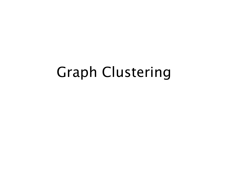#### Graph Clustering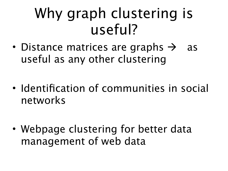#### Why graph clustering is useful?

- Distance matrices are graphs  $\rightarrow$  as useful as any other clustering
- Identification of communities in social networks
- Webpage clustering for better data management of web data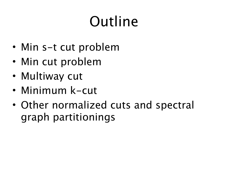# Outline

- Min s-t cut problem
- Min cut problem
- Multiway cut
- Minimum k-cut
- Other normalized cuts and spectral graph partitionings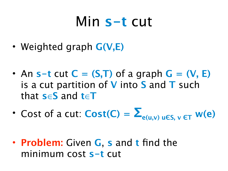#### Min **s-t** cut

- Weighted graph **G(V,E)**
- An  $s-t$  cut  $C = (S,T)$  of a graph  $G = (V, E)$ is a cut partition of **V** into **S** and **T** such that **s**∈**S** and **t**∈**T**
- Cost of a cut:  $Cost(C) = \sum_{e(u,v) \text{ u}\in S, v \in T} w(e)$
- **Problem:** Given **G**, **s** and **t** find the minimum cost **s-t** cut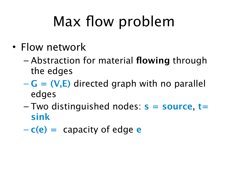# Max flow problem

- Flow network
	- Abstraction for material **flowing** through the edges
	- **G = (V,E)** directed graph with no parallel edges
	- Two distinguished nodes: **s = source**, **t= sink**
	- $-\mathbf{c}(\mathbf{e}) = \mathbf{c}$  apacity of edge  $\mathbf{e}$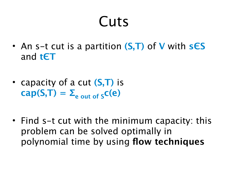#### **Cuts**

- An s-t cut is a partition **(S,T)** of **V** with **sЄS** and **tЄT**
- capacity of a cut **(S,T)** is  $cap(S,T) = \sum_{e \text{ out of } S} c(e)$
- Find s-t cut with the minimum capacity: this problem can be solved optimally in polynomial time by using **flow techniques**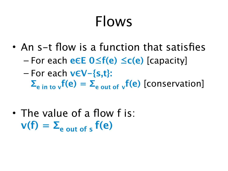#### Flows

- An s-t flow is a function that satisfies – For each **eЄE 0≤f(e) ≤c(e)** [capacity]
	- For each **vЄV-{s,t}:**

 $\Sigma_{\text{e in to }v}f(\textbf{e}) = \Sigma_{\text{e out of }v}f(\textbf{e})$  [conservation]

• The value of a flow f is:  $v(f) = \sum_{e \text{ out of } s} f(e)$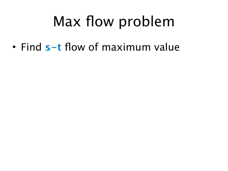#### Max flow problem

• Find **s-t** flow of maximum value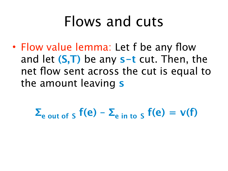#### Flows and cuts

• Flow value lemma: Let f be any flow and let **(S,T)** be any **s-t** cut. Then, the net flow sent across the cut is equal to the amount leaving **s**

 $\Sigma$ <sub>e out of S</sub>  $f(e) - \Sigma$ <sub>e in to S</sub>  $f(e) = v(f)$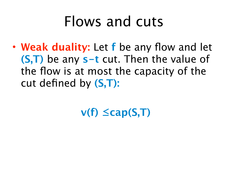#### Flows and cuts

• **Weak duality:** Let **f** be any flow and let **(S,T)** be any **s-t** cut. Then the value of the flow is at most the capacity of the cut defined by **(S,T):**

**v(f) ≤cap(S,T)**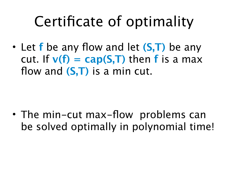#### Certificate of optimality

• Let **f** be any flow and let **(S,T)** be any cut. If  $v(f) = cap(S,T)$  then **f** is a max flow and **(S,T)** is a min cut.

• The min-cut max-flow problems can be solved optimally in polynomial time!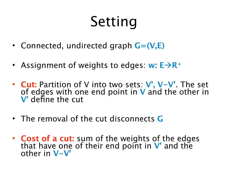# Setting

- Connected, undirected graph **G=(V,E)**
- Assignment of weights to edges:  $w: E \rightarrow R^+$
- **Cut:** Partition of V into two sets: **V', V-V'**. The set of edges with one end point in **V** and the other in **V'** define the cut
- The removal of the cut disconnects **G**
- **Cost of a cut:** sum of the weights of the edges that have one of their end point in **V'** and the other in **V-V'**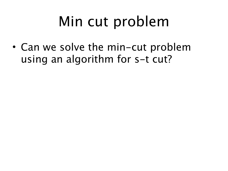## Min cut problem

• Can we solve the min-cut problem using an algorithm for s-t cut?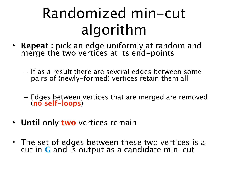## Randomized min-cut algorithm

- **Repeat :** pick an edge uniformly at random and merge the two vertices at its end-points
	- If as a result there are several edges between some pairs of (newly-formed) vertices retain them all
	- Edges between vertices that are merged are removed (**no self-loops**)
- **Until** only **two** vertices remain
- The set of edges between these two vertices is a cut in **G** and is output as a candidate min-cut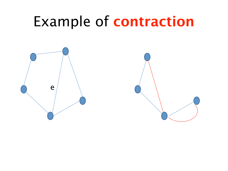#### Example of **contraction**



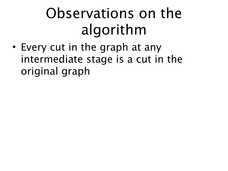## Observations on the algorithm

• Every cut in the graph at any intermediate stage is a cut in the original graph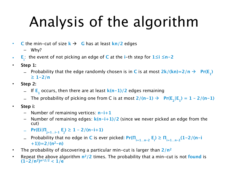# Analysis of the algorithm

- **•** C the min-cut of size  $k \rightarrow$  G has at least  $kn/2$  edges
	- Why?
- **E i** : the event of not picking an edge of **C** at the **i**-th step for **1≤i ≤n-2**
- **Step 1:**
	- $-$  Probability that the edge randomly chosen is in  $C$  is at most  $2k/(kn)=2/n \rightarrow Pr(E_{1})$ **≥ 1-2/n**
- **Step 2:**
	- $-$  If E<sub>1</sub> occurs, then there are at least  $k(n-1)/2$  edges remaining
	- $-$  The probability of picking one from C is at most  $2/(n-1) \rightarrow Pr(E_{_2}|E_{_1}) = 1 2/(n-1)$
- **Step i:**
	- Number of remaining vertices: **n-i+1**
	- Number of remaining edges: **k(n-i+1)/2** (since we never picked an edge from the cut)
	- **Pr(Ei|Πj=1…i-1 Ej ) ≥ 1 2/(n-i+1)**
	- Probability that no edge in **C** is ever picked**: Pr(Πi=1…n-2 Ei ) ≥ Πi=1…n-2(1-2/(n-i +1))=2/(n2-n)**
- The probability of discovering a particular min-cut is larger than **2/n2**
- Repeat the above algorithm **n2/2** times. The probability that a min-cut is not **found** is  $(1-2/n^2)^{n^2/2} < 1/e$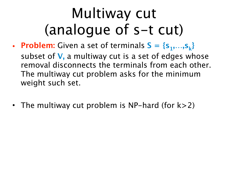# Multiway cut (analogue of s-t cut)

- **Problem:** Given a set of terminals  $S = \{s_1, \ldots, s_k\}$ subset of **V,** a multiway cut is a set of edges whose removal disconnects the terminals from each other. The multiway cut problem asks for the minimum weight such set.
- The multiway cut problem is NP-hard (for  $k>2$ )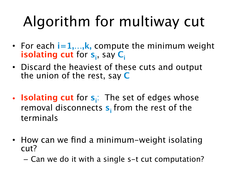# Algorithm for multiway cut

- For each  $i=1,...,k$ , compute the minimum weight **isolating cut** for  $s_i$ , say  $C_i$
- Discard the heaviest of these cuts and output the union of the rest, say **C**
- **Isolating cut** for  $s_i$ : The set of edges whose removal disconnects **s**<sub>i</sub> from the rest of the terminals
- How can we find a minimum-weight isolating cut?
	- Can we do it with a single s-t cut computation?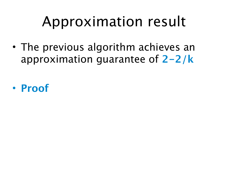# Approximation result

• The previous algorithm achieves an approximation guarantee of **2-2/k**

• **Proof**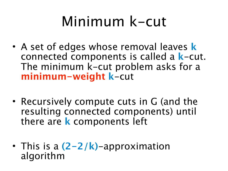#### Minimum k-cut

- A set of edges whose removal leaves **k** connected components is called a **k**-cut. The minimum k-cut problem asks for a **minimum-weight k**-cut
- Recursively compute cuts in G (and the resulting connected components) until there are **k** components left
- This is a **(2-2/k)**-approximation algorithm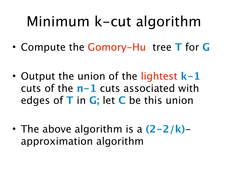## Minimum k-cut algorithm

- Compute the Gomory-Hu tree **T** for **G**
- Output the union of the lightest **k-1**  cuts of the **n-1** cuts associated with edges of **T** in **G;** let **C** be this union
- The above algorithm is a **(2-2/k)** approximation algorithm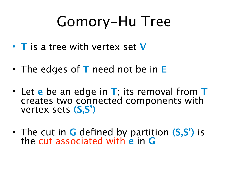#### Gomory-Hu Tree

- **T** is a tree with vertex set **V**
- The edges of **T** need not be in **E**
- Let **e** be an edge in **T**; its removal from **T** creates two connected components with vertex sets **(S,S')**
- The cut in **G** defined by partition **(S,S')** is the cut associated with **e** in **G**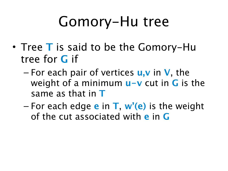#### Gomory-Hu tree

- Tree **T** is said to be the Gomory-Hu tree for **G** if
	- For each pair of vertices **u,v** in **V**, the weight of a minimum **u-v** cut in **G** is the same as that in **T**
	- For each edge **e** in **T**, **w'(e)** is the weight of the cut associated with **e** in **G**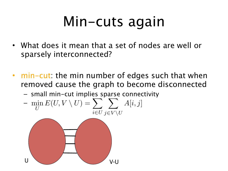## Min-cuts again

- What does it mean that a set of nodes are well or sparsely interconnected?
- min-cut: the min number of edges such that when removed cause the graph to become disconnected
	- small min-cut implies sparse connectivity

$$
-\min_{U} E(U, V \setminus U) = \sum_{i \in U} \sum_{j \in V \setminus U} A[i, j]
$$

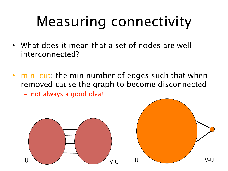# Measuring connectivity

- What does it mean that a set of nodes are well interconnected?
- min-cut: the min number of edges such that when removed cause the graph to become disconnected
	- not always a good idea!

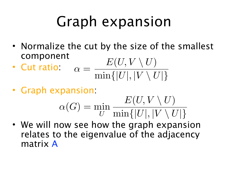## Graph expansion

- Normalize the cut by the size of the smallest component
- Cut ratio:  $\alpha =$  $E(U, V \setminus U)$  $\min\{|U|, |V \setminus U|\}$
- Graph expansion:

$$
\alpha(G) = \min_{U} \frac{E(U, V \setminus U)}{\min\{|U|, |V \setminus U|\}}
$$

• We will now see how the graph expansion relates to the eigenvalue of the adjacency matrix A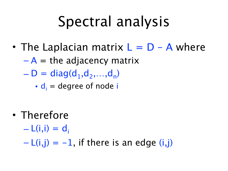## Spectral analysis

- The Laplacian matrix  $L = D A$  where
	- $-A =$  the adjacency matrix
	- $D = diag(d_1, d_2, \ldots, d_n)$ 
		- $\bullet$   $d_i$  = degree of node i

- Therefore
	- $-L(i,i) = d_i$

 $-L(i,j) = -1$ , if there is an edge  $(i,j)$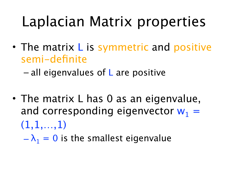## Laplacian Matrix properties

• The matrix L is symmetric and positive semi-definite

 $-$  all eigenvalues of L are positive

• The matrix L has 0 as an eigenvalue, and corresponding eigenvector  $w_1$  =  $(1,1,...,1)$ 

 $-\lambda_1 = 0$  is the smallest eigenvalue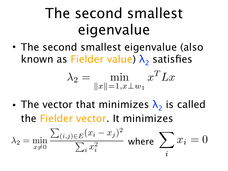## The second smallest eigenvalue

• The second smallest eigenvalue (also known as Fielder value)  $\lambda_2$  satisfies

$$
\lambda_2 = \min_{\|x\|=1, x \perp w_1} x^T L x
$$

• The vector that minimizes  $\lambda_2$  is called the Fielder vector. It minimizes

$$
\lambda_2 = \min_{x \neq 0} \frac{\sum_{(i,j) \in E} (x_i - x_j)^2}{\sum_i x_i^2} \text{ where } \sum_i x_i = 0
$$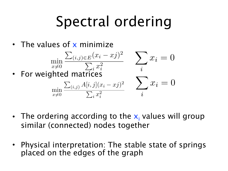## Spectral ordering

• The values of x minimize



- The ordering according to the  $x_i$  values will group similar (connected) nodes together
- Physical interpretation: The stable state of springs placed on the edges of the graph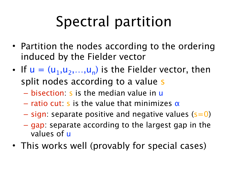# Spectral partition

- Partition the nodes according to the ordering induced by the Fielder vector
- If  $u = (u_1, u_2, ..., u_n)$  is the Fielder vector, then split nodes according to a value s
	- bisection: s is the median value in u
	- ratio cut: s is the value that minimizes  $\alpha$
	- $-$  sign: separate positive and negative values (s=0)
	- gap: separate according to the largest gap in the values of u
- This works well (provably for special cases)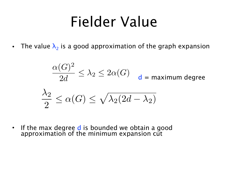#### Fielder Value

• The value  $\lambda_2$  is a good approximation of the graph expansion

$$
\frac{\alpha(G)^2}{2d} \le \lambda_2 \le 2\alpha(G) \quad d = \text{maximum degree}
$$
\n
$$
\frac{\lambda_2}{2} \le \alpha(G) \le \sqrt{\lambda_2(2d - \lambda_2)}
$$

• If the max degree d is bounded we obtain a good approximation of the minimum expansion cut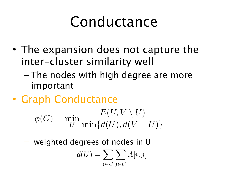## Conductance

- The expansion does not capture the inter-cluster similarity well
	- The nodes with high degree are more important
- Graph Conductance

$$
\phi(G) = \min_{U} \frac{E(U, V \setminus U)}{\min\{d(U), d(V - U)\}}
$$

– weighted degrees of nodes in U

$$
d(U) = \sum_{i \in U} \sum_{j \in U} A[i, j]
$$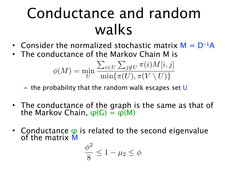## Conductance and random walks

- Consider the normalized stochastic matrix  $M = D^{-1}A$
- The conductance of the Markov Chain M is

$$
\phi(M) = \min_{U} \frac{\sum_{i \in U} \sum_{j \notin U} \pi(i) M[i, j]}{\min\{\pi(U), \pi(V \setminus U)\}}
$$

– the probability that the random walk escapes set  $\overline{U}$ 

- The conductance of the graph is the same as that of the Markov Chain,  $\varphi(G) = \varphi(M)$
- Conductance  $\varphi$  is related to the second eigenvalue of the matrix M

$$
\frac{\phi^2}{8} \le 1 - \mu_2 \le \phi
$$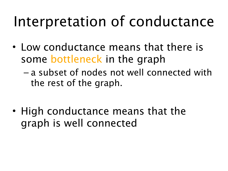#### Interpretation of conductance

- Low conductance means that there is some bottleneck in the graph
	- a subset of nodes not well connected with the rest of the graph.
- High conductance means that the graph is well connected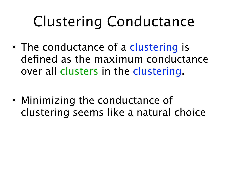# Clustering Conductance

- The conductance of a clustering is defined as the maximum conductance over all clusters in the clustering.
- Minimizing the conductance of clustering seems like a natural choice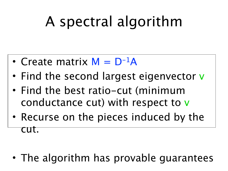# A spectral algorithm

- Create matrix  $M = D^{-1}A$
- Find the second largest eigenvector v
- Find the best ratio-cut (minimum conductance cut) with respect to v
- Recurse on the pieces induced by the cut.

• The algorithm has provable guarantees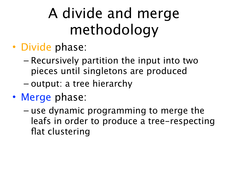# A divide and merge methodology

- Divide phase:
	- Recursively partition the input into two pieces until singletons are produced
	- output: a tree hierarchy
- Merge phase:
	- use dynamic programming to merge the leafs in order to produce a tree-respecting flat clustering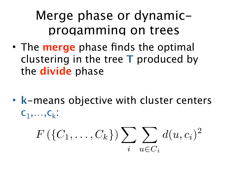#### Merge phase or dynamicprogamming on trees

• The **merge** phase finds the optimal clustering in the tree **T** produced by the **divide** phase

• **k**-means objective with cluster centers  $C_1,\ldots,C_k$ :

$$
F\left(\{C_1,\ldots,C_k\}\right)\sum_i\sum_{u\in C_i}d(u,c_i)^2
$$